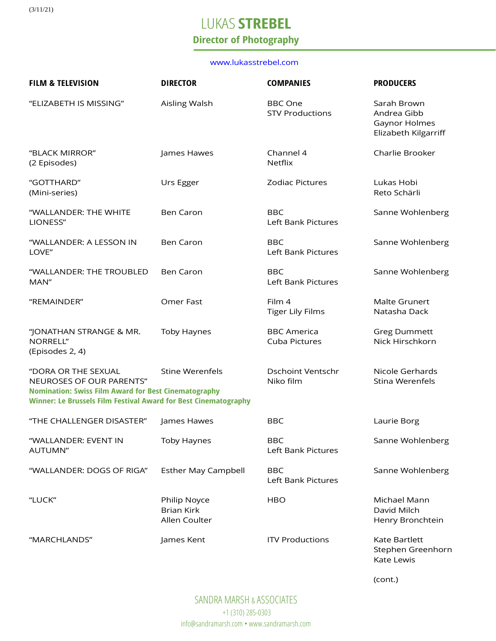(3/11/21)

# LUKAS **STREBEL**

## **Director of Photography**

#### [www.lukasstrebel.com](http://www.lukasstrebel.com/)

| <b>FILM &amp; TELEVISION</b>                                                                                                                                                      | <b>DIRECTOR</b>                                    | <b>COMPANIES</b>                         | <b>PRODUCERS</b>                                                    |
|-----------------------------------------------------------------------------------------------------------------------------------------------------------------------------------|----------------------------------------------------|------------------------------------------|---------------------------------------------------------------------|
| "ELIZABETH IS MISSING"                                                                                                                                                            | Aisling Walsh                                      | <b>BBC</b> One<br><b>STV Productions</b> | Sarah Brown<br>Andrea Gibb<br>Gaynor Holmes<br>Elizabeth Kilgarriff |
| "BLACK MIRROR"<br>(2 Episodes)                                                                                                                                                    | James Hawes                                        | Channel 4<br><b>Netflix</b>              | Charlie Brooker                                                     |
| "GOTTHARD"<br>(Mini-series)                                                                                                                                                       | Urs Egger                                          | <b>Zodiac Pictures</b>                   | Lukas Hobi<br>Reto Schärli                                          |
| "WALLANDER: THE WHITE<br>LIONESS"                                                                                                                                                 | <b>Ben Caron</b>                                   | <b>BBC</b><br>Left Bank Pictures         | Sanne Wohlenberg                                                    |
| "WALLANDER: A LESSON IN<br>LOVE"                                                                                                                                                  | <b>Ben Caron</b>                                   | <b>BBC</b><br>Left Bank Pictures         | Sanne Wohlenberg                                                    |
| "WALLANDER: THE TROUBLED<br>MAN"                                                                                                                                                  | <b>Ben Caron</b>                                   | <b>BBC</b><br>Left Bank Pictures         | Sanne Wohlenberg                                                    |
| "REMAINDER"                                                                                                                                                                       | Omer Fast                                          | Film 4<br><b>Tiger Lily Films</b>        | Malte Grunert<br>Natasha Dack                                       |
| "JONATHAN STRANGE & MR.<br>NORRELL"<br>(Episodes 2, 4)                                                                                                                            | <b>Toby Haynes</b>                                 | <b>BBC</b> America<br>Cuba Pictures      | <b>Greg Dummett</b><br>Nick Hirschkorn                              |
| "DORA OR THE SEXUAL<br>NEUROSES OF OUR PARENTS"<br><b>Nomination: Swiss Film Award for Best Cinematography</b><br>Winner: Le Brussels Film Festival Award for Best Cinematography | <b>Stine Werenfels</b>                             | <b>Dschoint Ventschr</b><br>Niko film    | Nicole Gerhards<br>Stina Werenfels                                  |
| "THE CHALLENGER DISASTER"                                                                                                                                                         | James Hawes                                        | <b>BBC</b>                               | Laurie Borg                                                         |
| "WALLANDER: EVENT IN<br>AUTUMN"                                                                                                                                                   | <b>Toby Haynes</b>                                 | <b>BBC</b><br>Left Bank Pictures         | Sanne Wohlenberg                                                    |
| "WALLANDER: DOGS OF RIGA"                                                                                                                                                         | <b>Esther May Campbell</b>                         | <b>BBC</b><br>Left Bank Pictures         | Sanne Wohlenberg                                                    |
| "LUCK"                                                                                                                                                                            | Philip Noyce<br><b>Brian Kirk</b><br>Allen Coulter | <b>HBO</b>                               | Michael Mann<br>David Milch<br>Henry Bronchtein                     |
| "MARCHLANDS"                                                                                                                                                                      | James Kent                                         | <b>ITV Productions</b>                   | Kate Bartlett<br>Stephen Greenhorn                                  |

(cont.)

Kate Lewis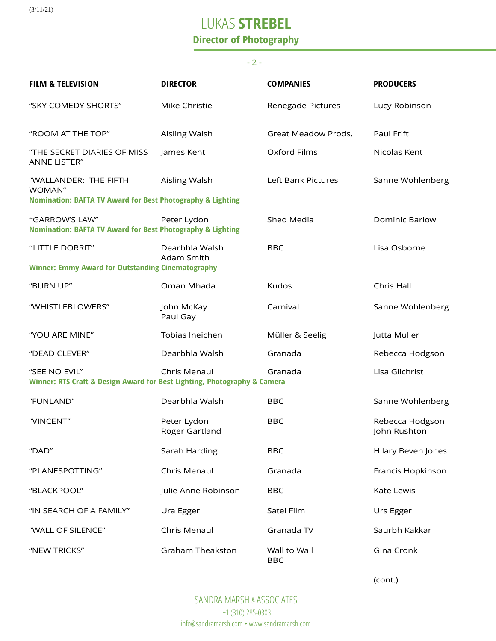(3/11/21)

# LUKAS **STREBEL**

### **Director of Photography**

#### - 2 -

| <b>FILM &amp; TELEVISION</b>                                                                             | <b>DIRECTOR</b>               | <b>COMPANIES</b>           | <b>PRODUCERS</b>                |  |  |
|----------------------------------------------------------------------------------------------------------|-------------------------------|----------------------------|---------------------------------|--|--|
| "SKY COMEDY SHORTS"                                                                                      | Mike Christie                 | Renegade Pictures          | Lucy Robinson                   |  |  |
| "ROOM AT THE TOP"                                                                                        | Aisling Walsh                 | Great Meadow Prods.        | Paul Frift                      |  |  |
| "THE SECRET DIARIES OF MISS<br><b>ANNE LISTER"</b>                                                       | James Kent                    | Oxford Films               | Nicolas Kent                    |  |  |
| "WALLANDER: THE FIFTH<br>WOMAN"<br><b>Nomination: BAFTA TV Award for Best Photography &amp; Lighting</b> | Aisling Walsh                 | Left Bank Pictures         | Sanne Wohlenberg                |  |  |
| "GARROW'S LAW"<br><b>Nomination: BAFTA TV Award for Best Photography &amp; Lighting</b>                  | Peter Lydon                   | Shed Media                 | <b>Dominic Barlow</b>           |  |  |
| "LITTLE DORRIT"                                                                                          | Dearbhla Walsh                | <b>BBC</b>                 | Lisa Osborne                    |  |  |
| Adam Smith<br><b>Winner: Emmy Award for Outstanding Cinematography</b>                                   |                               |                            |                                 |  |  |
| "BURN UP"                                                                                                | Oman Mhada                    | Kudos                      | Chris Hall                      |  |  |
| "WHISTLEBLOWERS"                                                                                         | John McKay<br>Paul Gay        | Carnival                   | Sanne Wohlenberg                |  |  |
| "YOU ARE MINE"                                                                                           | Tobias Ineichen               | Müller & Seelig            | Jutta Muller                    |  |  |
| "DEAD CLEVER"                                                                                            | Dearbhla Walsh                | Granada                    | Rebecca Hodgson                 |  |  |
| "SEE NO EVIL"<br>Winner: RTS Craft & Design Award for Best Lighting, Photography & Camera                | Chris Menaul                  | Granada                    | Lisa Gilchrist                  |  |  |
| "FUNLAND"                                                                                                | Dearbhla Walsh                | <b>BBC</b>                 | Sanne Wohlenberg                |  |  |
| "VINCENT"                                                                                                | Peter Lydon<br>Roger Gartland | <b>BBC</b>                 | Rebecca Hodgson<br>John Rushton |  |  |
| "DAD"                                                                                                    | Sarah Harding                 | <b>BBC</b>                 | Hilary Beven Jones              |  |  |
| "PLANESPOTTING"                                                                                          | Chris Menaul                  | Granada                    | Francis Hopkinson               |  |  |
| "BLACKPOOL"                                                                                              | Julie Anne Robinson           | <b>BBC</b>                 | Kate Lewis                      |  |  |
| "IN SEARCH OF A FAMILY"                                                                                  | Ura Egger                     | Satel Film                 | Urs Egger                       |  |  |
| "WALL OF SILENCE"                                                                                        | Chris Menaul                  | Granada TV                 | Saurbh Kakkar                   |  |  |
| "NEW TRICKS"                                                                                             | <b>Graham Theakston</b>       | Wall to Wall<br><b>BBC</b> | Gina Cronk                      |  |  |

(cont.)